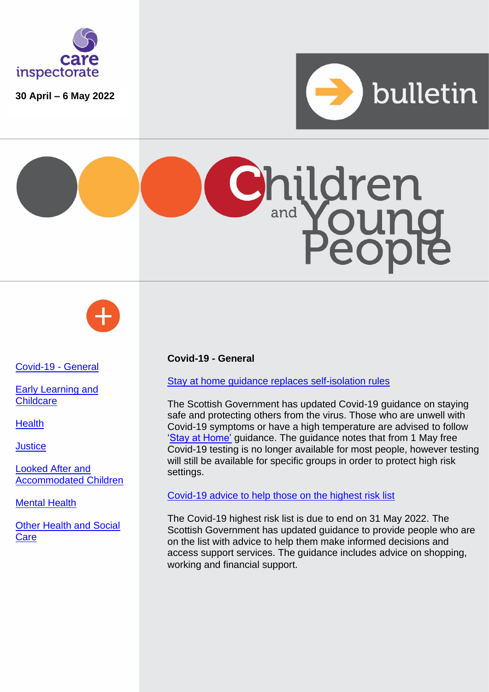

**30 April – 6 May 2022**







<span id="page-0-0"></span>[Covid-19 -](#page-0-0) General

Early Learning and **Childcare** 

**[Health](#page-2-0)** 

**[Justice](#page-2-1)** 

[Looked After and](#page-2-2)  [Accommodated Children](#page-2-2)

[Mental Health](#page-2-3)

[Other Health and Social](#page-2-4)  **[Care](#page-2-4)** 

## **Covid-19 - General**

[Stay at home guidance replaces self-isolation rules](https://www.gov.scot/publications/coronavirus-covid-19-staying-safe-and-protecting-others/)

The Scottish Government has updated Covid-19 guidance on staying safe and protecting others from the virus. Those who are unwell with Covid-19 symptoms or have a high temperature are advised to follow ['Stay at Home'](https://www.nhsinform.scot/covid19) guidance. The guidance notes that from 1 May free Covid-19 testing is no longer available for most people, however testing will still be available for specific groups in order to protect high risk settings.

[Covid-19 advice to help those on the highest risk list](https://www.gov.scot/publications/covid-highest-risk/pages/overview/) 

The Covid-19 highest risk list is due to end on 31 May 2022. The Scottish Government has updated guidance to provide people who are on the list with advice to help them make informed decisions and access support services. The guidance includes advice on shopping, working and financial support.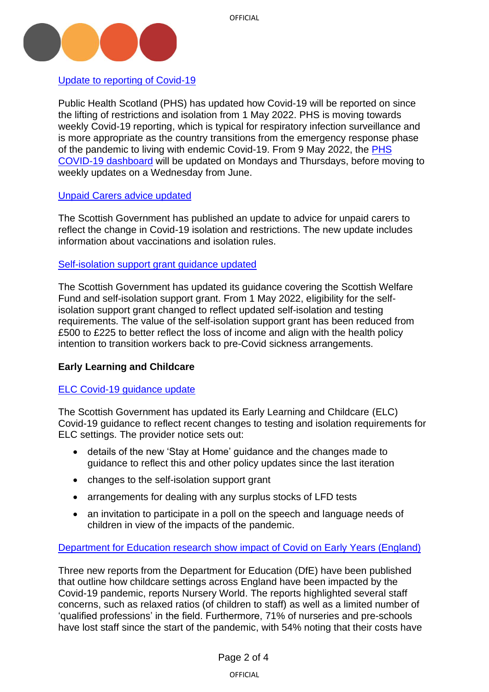

[Update to reporting of Covid-19](https://www.publichealthscotland.scot/news/2022/may/update-to-reporting-of-covid-19-statistics/)

Public Health Scotland (PHS) has updated how Covid-19 will be reported on since the lifting of restrictions and isolation from 1 May 2022. PHS is moving towards weekly Covid-19 reporting, which is typical for respiratory infection surveillance and is more appropriate as the country transitions from the emergency response phase of the pandemic to living with endemic Covid-19. From 9 May 2022, the [PHS](https://public.tableau.com/app/profile/phs.covid.19/viz/COVID-19DailyDashboard_15960160643010/Overview/viz/COVID-19DailyDashboard_15960160643010/Overview)  [COVID-19 dashboard](https://public.tableau.com/app/profile/phs.covid.19/viz/COVID-19DailyDashboard_15960160643010/Overview/viz/COVID-19DailyDashboard_15960160643010/Overview) will be updated on Mondays and Thursdays, before moving to weekly updates on a Wednesday from June.

## [Unpaid Carers advice updated](https://www.gov.scot/publications/coronavirus-covid-19-advice-for-unpaid-carers/)

The Scottish Government has published an update to advice for unpaid carers to reflect the change in Covid-19 isolation and restrictions. The new update includes information about vaccinations and isolation rules.

## Self-isolation [support grant guidance updated](https://www.gov.scot/publications/coronavirus-covid-19-scottish-welfare-fund-statutory-guidance/)

The Scottish Government has updated its guidance covering the Scottish Welfare Fund and self-isolation support grant. From 1 May 2022, eligibility for the selfisolation support grant changed to reflect updated self-isolation and testing requirements. The value of the self-isolation support grant has been reduced from £500 to £225 to better reflect the loss of income and align with the health policy intention to transition workers back to pre-Covid sickness arrangements.

# **Early Learning and Childcare**

# [ELC Covid-19 guidance update](https://www.careinspectorate.com/images/ELC_-_Workforce_-_Provider_Notice_-_3rd_May_2022.pdf?utm_medium=email&utm_source=govdelivery)

The Scottish Government has updated its Early Learning and Childcare (ELC) Covid-19 guidance to reflect recent changes to testing and isolation requirements for ELC settings. The provider notice sets out:

- details of the new 'Stay at Home' guidance and the changes made to guidance to reflect this and other policy updates since the last iteration
- changes to the self-isolation support grant
- arrangements for dealing with any surplus stocks of LFD tests
- an invitation to participate in a poll on the speech and language needs of children in view of the impacts of the pandemic.

## Department for [Education research show impact of Covid on Early Years \(England\)](https://www.nurseryworld.co.uk/news/article/new-dfe-research-emphasises-the-impact-of-covid-on-early-years-sector)

Three new reports from the Department for Education (DfE) have been published that outline how childcare settings across England have been impacted by the Covid-19 pandemic, reports Nursery World. The reports highlighted several staff concerns, such as relaxed ratios (of children to staff) as well as a limited number of 'qualified professions' in the field. Furthermore, 71% of nurseries and pre-schools have lost staff since the start of the pandemic, with 54% noting that their costs have

OFFICIAL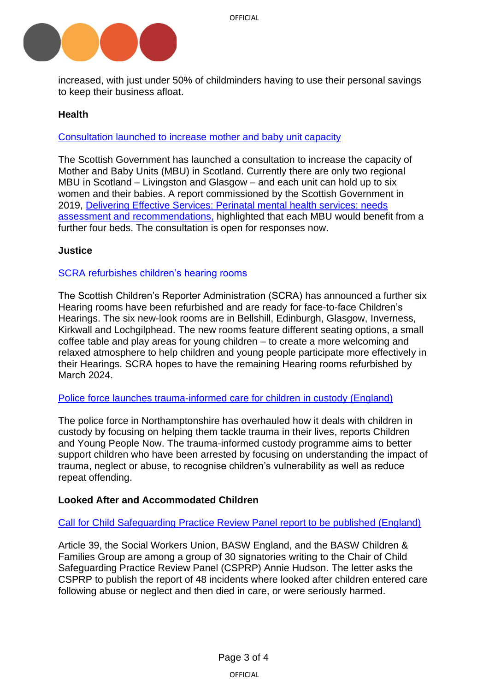

increased, with just under 50% of childminders having to use their personal savings to keep their business afloat.

# <span id="page-2-0"></span>**Health**

[Consultation launched to increase mother and baby unit capacity](https://consult.gov.scot/mental-health-unit/mother-and-baby-unit/)

The Scottish Government has launched a consultation to increase the capacity of Mother and Baby Units (MBU) in Scotland. Currently there are only two regional MBU in Scotland – Livingston and Glasgow – and each unit can hold up to six women and their babies. A report commissioned by the Scottish Government in 2019, [Delivering Effective Services: Perinatal mental health services: needs](https://www.pmhn.scot.nhs.uk/wp-content/uploads/2019/03/PMHN-Needs-Assessment-Report.pdf)  [assessment and recommendations,](https://www.pmhn.scot.nhs.uk/wp-content/uploads/2019/03/PMHN-Needs-Assessment-Report.pdf) highlighted that each MBU would benefit from a further four beds. The consultation is open for responses now.

## <span id="page-2-1"></span>**Justice**

## SCRA refurbishes [children's hearing rooms](https://www.scra.gov.uk/2022/05/more-hearing-rooms-get-a-makeover/)

The Scottish Children's Reporter Administration (SCRA) has announced a further six Hearing rooms have been refurbished and are ready for face-to-face Children's Hearings. The six new-look rooms are in Bellshill, Edinburgh, Glasgow, Inverness, Kirkwall and Lochgilphead. The new rooms feature different seating options, a small coffee table and play areas for young children – to create a more welcoming and relaxed atmosphere to help children and young people participate more effectively in their Hearings. SCRA hopes to have the remaining Hearing rooms refurbished by March 2024.

Police force launches [trauma-informed care for children in custody \(England\)](https://www.cypnow.co.uk/news/article/police-force-launches-trauma-informed-care-for-children-in-custody)

The police force in Northamptonshire has overhauled how it deals with children in custody by focusing on helping them tackle trauma in their lives, reports Children and Young People Now. The trauma-informed custody programme aims to better support children who have been arrested by focusing on understanding the impact of trauma, neglect or abuse, to recognise children's vulnerability as well as reduce repeat offending.

# <span id="page-2-2"></span>**Looked After and Accommodated Children**

## <span id="page-2-4"></span>[Call for Child Safeguarding Practice Review Panel report to be published \(England\)](https://www.basw.co.uk/media/news/2022/may/article-39-and-swu-are-among-30-signatories-joint-letter-calling-publication)

<span id="page-2-3"></span>Article 39, the Social Workers Union, BASW England, and the BASW Children & Families Group are among a group of 30 signatories writing to the Chair of Child Safeguarding Practice Review Panel (CSPRP) Annie Hudson. The letter asks the CSPRP to publish the report of 48 incidents where looked after children entered care following abuse or neglect and then died in care, or were seriously harmed.